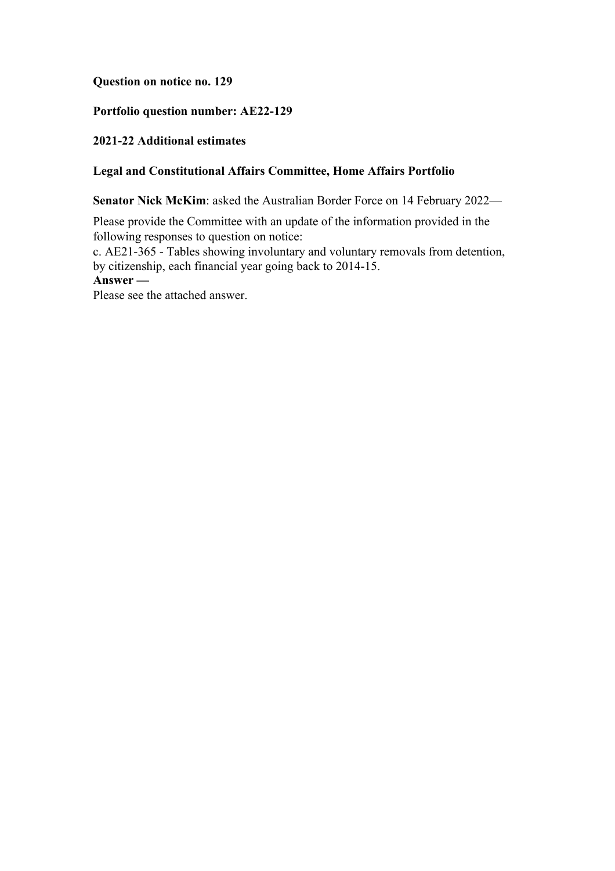## **Question on notice no. 129**

# **Portfolio question number: AE22-129**

## **2021-22 Additional estimates**

## **Legal and Constitutional Affairs Committee, Home Affairs Portfolio**

**Senator Nick McKim**: asked the Australian Border Force on 14 February 2022—

Please provide the Committee with an update of the information provided in the following responses to question on notice:

c. AE21-365 - Tables showing involuntary and voluntary removals from detention, by citizenship, each financial year going back to 2014-15. **Answer —**

Please see the attached answer.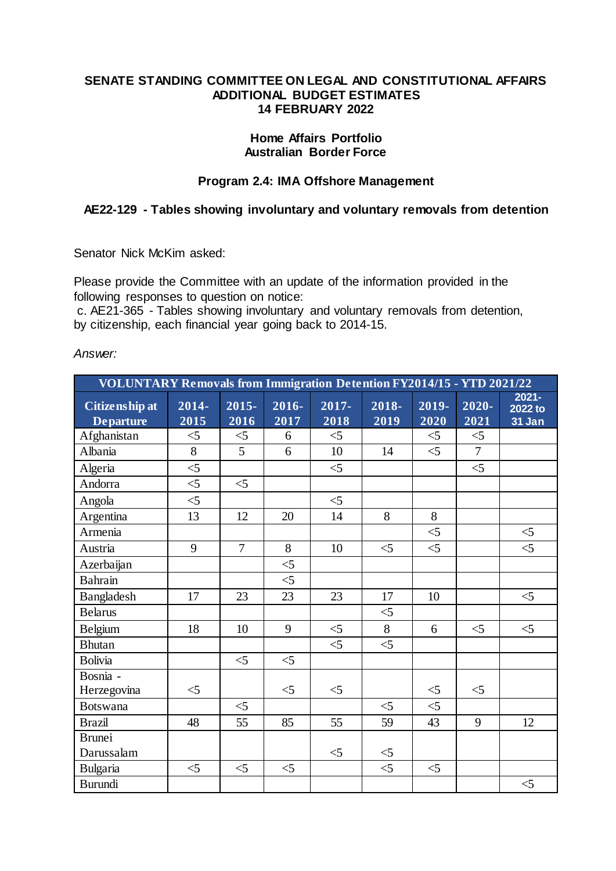#### **SENATE STANDING COMMITTEE ON LEGAL AND CONSTITUTIONAL AFFAIRS ADDITIONAL BUDGET ESTIMATES 14 FEBRUARY 2022**

#### **Home Affairs Portfolio Australian Border Force**

## **Program 2.4: IMA Offshore Management**

## **AE22-129 - Tables showing involuntary and voluntary removals from detention**

Senator Nick McKim asked:

Please provide the Committee with an update of the information provided in the following responses to question on notice:

c. AE21-365 - Tables showing involuntary and voluntary removals from detention, by citizenship, each financial year going back to 2014-15.

*Answer:*

| <b>VOLUNTARY Removals from Immigration Detention FY2014/15 - YTD 2021/22</b> |                  |                  |               |               |               |                  |                |                               |  |  |
|------------------------------------------------------------------------------|------------------|------------------|---------------|---------------|---------------|------------------|----------------|-------------------------------|--|--|
| Citizenship at<br><b>Departure</b>                                           | $2014 -$<br>2015 | $2015 -$<br>2016 | 2016-<br>2017 | 2017-<br>2018 | 2018-<br>2019 | $2019 -$<br>2020 | 2020-<br>2021  | $2021 -$<br>2022 to<br>31 Jan |  |  |
| Afghanistan                                                                  | $<$ 5            | $<$ 5            | 6             | $<$ 5         |               | $<$ 5            | $<$ 5          |                               |  |  |
| Albania                                                                      | 8                | 5                | 6             | 10            | 14            | $\leq$           | $\overline{7}$ |                               |  |  |
| Algeria                                                                      | $\leq$           |                  |               | $\leq$        |               |                  | $\leq$         |                               |  |  |
| Andorra                                                                      | $\leq$           | $\leq$           |               |               |               |                  |                |                               |  |  |
| Angola                                                                       | $\leq$           |                  |               | $\leq$        |               |                  |                |                               |  |  |
| Argentina                                                                    | 13               | 12               | 20            | 14            | 8             | 8                |                |                               |  |  |
| Armenia                                                                      |                  |                  |               |               |               | $\leq$           |                | $<$ 5                         |  |  |
| Austria                                                                      | 9                | $\overline{7}$   | 8             | 10            | $<$ 5         | $<$ 5            |                | $\leq$                        |  |  |
| Azerbaijan                                                                   |                  |                  | $\leq 5$      |               |               |                  |                |                               |  |  |
| <b>Bahrain</b>                                                               |                  |                  | $\leq$        |               |               |                  |                |                               |  |  |
| Bangladesh                                                                   | 17               | 23               | 23            | 23            | 17            | 10               |                | $<$ 5                         |  |  |
| <b>Belarus</b>                                                               |                  |                  |               |               | $<$ 5         |                  |                |                               |  |  |
| Belgium                                                                      | 18               | 10               | 9             | $\leq$        | 8             | 6                | $<$ 5          | $<$ 5                         |  |  |
| <b>Bhutan</b>                                                                |                  |                  |               | $<$ 5         | $<$ 5         |                  |                |                               |  |  |
| <b>Bolivia</b>                                                               |                  | $\leq$ 5         | $<$ 5         |               |               |                  |                |                               |  |  |
| Bosnia -<br>Herzegovina                                                      | $\leq$ 5         |                  | $<$ 5         | $<$ 5         |               | $<$ 5            | $<$ 5          |                               |  |  |
| <b>Botswana</b>                                                              |                  | $<$ 5            |               |               | $<$ 5         | $\leq$           |                |                               |  |  |
| <b>Brazil</b>                                                                | 48               | 55               | 85            | 55            | 59            | 43               | 9              | 12                            |  |  |
| <b>Brunei</b>                                                                |                  |                  |               |               |               |                  |                |                               |  |  |
| Darussalam                                                                   |                  |                  |               | $<$ 5         | $\leq$ 5      |                  |                |                               |  |  |
| Bulgaria                                                                     | $\leq$ 5         | $<$ 5            | $<$ 5         |               | $<$ 5         | $\leq$ 5         |                |                               |  |  |
| Burundi                                                                      |                  |                  |               |               |               |                  |                | $\leq$ 5                      |  |  |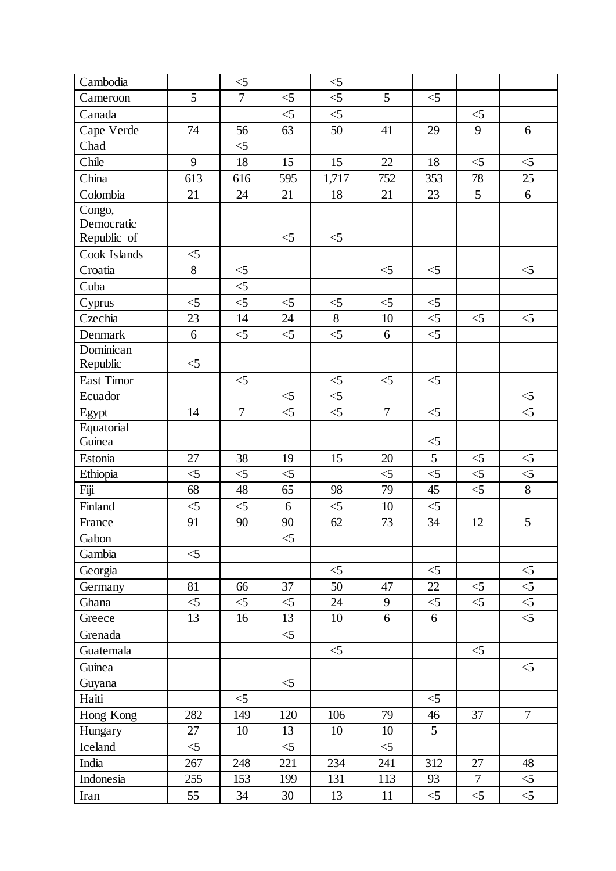| Cambodia     |          | $<$ 5          |          | $<$ 5    |                |          |                |             |
|--------------|----------|----------------|----------|----------|----------------|----------|----------------|-------------|
| Cameroon     | 5        | $\overline{7}$ | $\leq 5$ | $\leq 5$ | 5              | $<$ 5    |                |             |
| Canada       |          |                | $\leq$   | $\leq$   |                |          | $\leq$         |             |
| Cape Verde   | 74       | 56             | 63       | 50       | 41             | 29       | 9              | 6           |
| Chad         |          | $\leq$ 5       |          |          |                |          |                |             |
| Chile        | 9        | 18             | 15       | 15       | 22             | 18       | $<$ 5          | $<$ 5       |
| China        | 613      | 616            | 595      | 1,717    | 752            | 353      | 78             | 25          |
| Colombia     | 21       | 24             | 21       | 18       | 21             | 23       | 5              | 6           |
| Congo,       |          |                |          |          |                |          |                |             |
| Democratic   |          |                |          |          |                |          |                |             |
| Republic of  |          |                | $\leq$ 5 | $<$ 5    |                |          |                |             |
| Cook Islands | $\leq 5$ |                |          |          |                |          |                |             |
| Croatia      | 8        | $\leq$ 5       |          |          | $\leq$         | $\leq$   |                | $\leq$      |
| Cuba         |          | $\leq$         |          |          |                |          |                |             |
| Cyprus       | $\leq$   | $<$ 5          | $\leq$   | $<$ 5    | $\leq$         | $<$ 5    |                |             |
| Czechia      | 23       | 14             | 24       | 8        | 10             | $\leq$   | $<$ 5          | $<$ 5       |
| Denmark      | 6        | $\leq$ 5       | $<$ 5    | $\leq$   | 6              | $\leq$   |                |             |
| Dominican    |          |                |          |          |                |          |                |             |
| Republic     | $\leq$ 5 |                |          |          |                |          |                |             |
| East Timor   |          | $<$ 5          |          | $<$ 5    | $<$ 5          | $<$ 5    |                |             |
| Ecuador      |          |                | $\leq$ 5 | $<$ 5    |                |          |                | $\leq$      |
| Egypt        | 14       | $\overline{7}$ | $\leq$   | $\leq$ 5 | $\overline{7}$ | $\leq$   |                | $\leq$      |
| Equatorial   |          |                |          |          |                |          |                |             |
| Guinea       |          |                |          |          |                | $<$ 5    |                |             |
| Estonia      | 27       | 38             | 19       | 15       | 20             | 5        | $\leq$ 5       | $\leq$      |
| Ethiopia     | $\leq$ 5 | $\leq$ 5       | $<$ 5    |          | $<$ 5          | $\leq$   | $<$ 5          | $\leq$<br>8 |
| Fiji         | 68       | 48             | 65       | 98       | 79             | 45       | $\leq$         |             |
| Finland      | $\leq$   | $\leq$ 5       | 6        | $\leq$   | 10             | $\leq$   |                |             |
| France       | 91       | 90             | 90       | 62       | 73             | 34       | 12             | 5           |
| Gabon        |          |                | $\leq 5$ |          |                |          |                |             |
| Gambia       | $\leq$   |                |          |          |                |          |                |             |
| Georgia      |          |                |          | $<$ 5    |                | $<$ 5    |                | $<$ 5       |
| Germany      | 81       | 66             | 37       | 50       | 47             | 22       | $\leq$         | $\leq$      |
| Ghana        | $<$ 5    | $<$ 5          | $<$ 5    | 24       | 9              | $<$ 5    | $<$ 5          | $\leq$      |
| Greece       | 13       | 16             | 13       | 10       | 6              | 6        |                | $\leq$      |
| Grenada      |          |                | $<$ 5    |          |                |          |                |             |
| Guatemala    |          |                |          | $<$ 5    |                |          | $<$ 5          |             |
| Guinea       |          |                |          |          |                |          |                | $<$ 5       |
| Guyana       |          |                | $<$ 5    |          |                |          |                |             |
| Haiti        |          | $<$ 5          |          |          |                | $\leq$   |                |             |
| Hong Kong    | 282      | 149            | 120      | 106      | 79             | 46       | 37             | $\tau$      |
| Hungary      | 27       | 10             | 13       | 10       | 10             | 5        |                |             |
| Iceland      | $<$ 5    |                | $<$ 5    |          | $<$ 5          |          |                |             |
| India        | 267      | 248            | 221      | 234      | 241            | 312      | 27             | 48          |
| Indonesia    | 255      | 153            | 199      | 131      | 113            | 93       | $\overline{7}$ | $\leq$      |
| Iran         | 55       | 34             | 30       | 13       | 11             | $\leq 5$ | $\leq$ 5       | $\leq$      |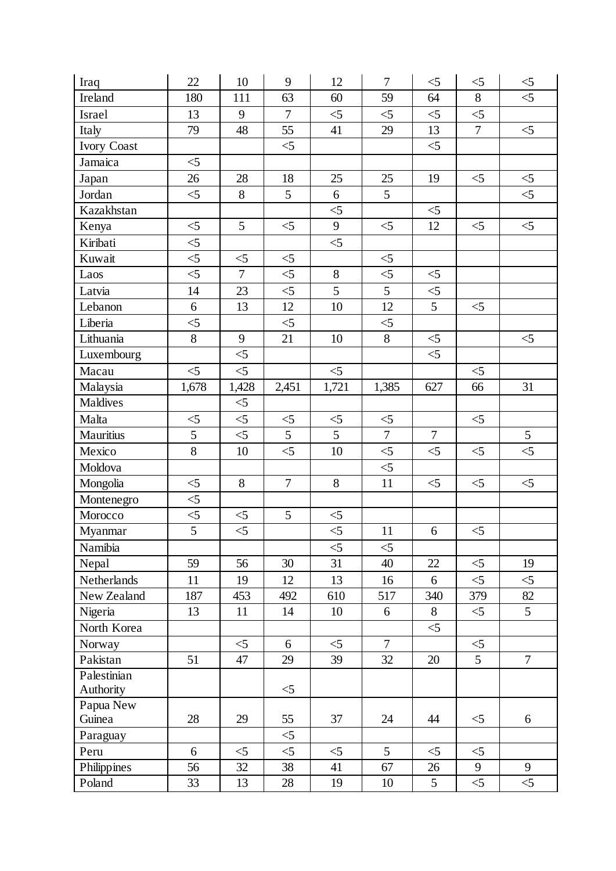| Iraq             | 22             | 10                | 9              | 12                | $\tau$          | $\leq 5$       | $<$ 5          | $\leq 5$        |
|------------------|----------------|-------------------|----------------|-------------------|-----------------|----------------|----------------|-----------------|
| Ireland          | 180            | 111               | 63             | 60                | 59              | 64             | 8              | $\leq 5$        |
| Israel           | 13             | 9                 | $\overline{7}$ | $<$ 5             | $\leq$          | $\leq$         | $<$ 5          |                 |
| Italy            | 79             | 48                | 55             | 41                | 29              | 13             | $\overline{7}$ | $\leq$          |
| Ivory Coast      |                |                   | $\leq$         |                   |                 | $\leq$         |                |                 |
| Jamaica          | $\leq$         |                   |                |                   |                 |                |                |                 |
| Japan            | 26             | 28                | 18             | 25                | 25              | 19             | $\leq$         | $\leq$          |
| Jordan           | $\leq$         | 8                 | 5              | 6                 | $5\overline{)}$ |                |                | $<$ 5           |
| Kazakhstan       |                |                   |                | $\leq$            |                 | $\leq$         |                |                 |
| Kenya            | $\leq$         | 5                 | $\leq$         | 9                 | $\leq$          | 12             | $\leq$         | $\leq$          |
| Kiribati         | $\leq$         |                   |                | $\leq$            |                 |                |                |                 |
| Kuwait           | $\leq$         | $<$ 5             | $\leq$         |                   | $\leq$ 5        |                |                |                 |
| Laos             | $\leq$         | $\overline{7}$    | $\leq$ 5       | $8\,$             | $\leq$          | $\leq$         |                |                 |
| Latvia           | 14             | 23                | $\leq$         | 5                 | $\overline{5}$  | $\leq$ 5       |                |                 |
| Lebanon          | 6              | 13                | 12             | 10                | 12              | 5              | $<$ 5          |                 |
| Liberia          | $\leq$         |                   | $\leq$         |                   | $\leq$ 5        |                |                |                 |
| Lithuania        | 8              | 9                 | 21             | 10                | $\overline{8}$  | $\leq$         |                | $<$ 5           |
| Luxembourg       |                | $\leq 5$          |                |                   |                 | $\leq$ 5       |                |                 |
| Macau            | $\leq$         | $\leq$            |                | $\leq$            |                 |                | $<$ 5          |                 |
| Malaysia         | 1,678          | 1,428             | 2,451          | 1,721             | 1,385           | 627            | 66             | 31              |
| Maldives         |                | $<$ 5             |                |                   |                 |                |                |                 |
| Malta            | $\leq$         | $\leq$            | $\leq$         | $\leq$            | $\leq$          |                | $\leq$         |                 |
| <b>Mauritius</b> | 5              | $\leq$            | $\overline{5}$ | $\overline{5}$    | $\overline{7}$  | $\overline{7}$ |                | $5\overline{)}$ |
| Mexico           | 8              | 10                | $\leq$         | 10                | $<$ 5           | $\leq$         | $<$ 5          | $\leq$          |
| Moldova          |                |                   |                |                   | $\leq$          |                |                |                 |
| Mongolia         | $\leq$         | 8                 | $\overline{7}$ | $8\,$             | 11              | $<$ 5          | $<$ 5          | $\leq$          |
| Montenegro       | $\leq$         |                   |                |                   |                 |                |                |                 |
| Morocco          | $<$ 5          | $<$ 5             | 5              | $\leq 5$          |                 |                |                |                 |
| Myanmar          | $\overline{5}$ | $\overline{\leq}$ |                | $\overline{\leq}$ | 11              | 6              | $\leq 5$       |                 |
| Namibia          |                |                   |                | $<$ 5             | $\leq$          |                |                |                 |
| Nepal            | 59             | 56                | 30             | 31                | 40              | 22             | $<$ 5          | 19              |
| Netherlands      | 11             | 19                | 12             | 13                | 16              | 6              | $<$ 5          | $<$ 5           |
| New Zealand      | 187            | 453               | 492            | 610               | 517             | 340            | 379            | 82              |
| Nigeria          | 13             | 11                | 14             | 10                | 6               | 8              | $<$ 5          | $\overline{5}$  |
| North Korea      |                |                   |                |                   |                 | $<$ 5          |                |                 |
| Norway           |                | $<$ 5             | 6              | $<$ 5             | $\overline{7}$  |                | $\leq$         |                 |
| Pakistan         | 51             | 47                | 29             | 39                | 32              | 20             | 5 <sup>5</sup> | $\overline{7}$  |
| Palestinian      |                |                   |                |                   |                 |                |                |                 |
| Authority        |                |                   | $<$ 5          |                   |                 |                |                |                 |
| Papua New        |                |                   |                |                   |                 |                |                |                 |
| Guinea           | 28             | 29                | 55             | 37                | 24              | 44             | $<$ 5          | 6               |
| Paraguay         |                |                   | $\leq$ 5       |                   |                 |                |                |                 |
| Peru             | 6              | $<$ 5             | $\leq$         | $<$ 5             | 5               | $\leq$ 5       | $\leq$ 5       |                 |
| Philippines      | 56             | 32                | 38             | 41                | 67              | 26             | 9              | 9               |
| Poland           | 33             | 13                | 28             | 19                | 10              | 5              | $<$ 5          | $\leq 5$        |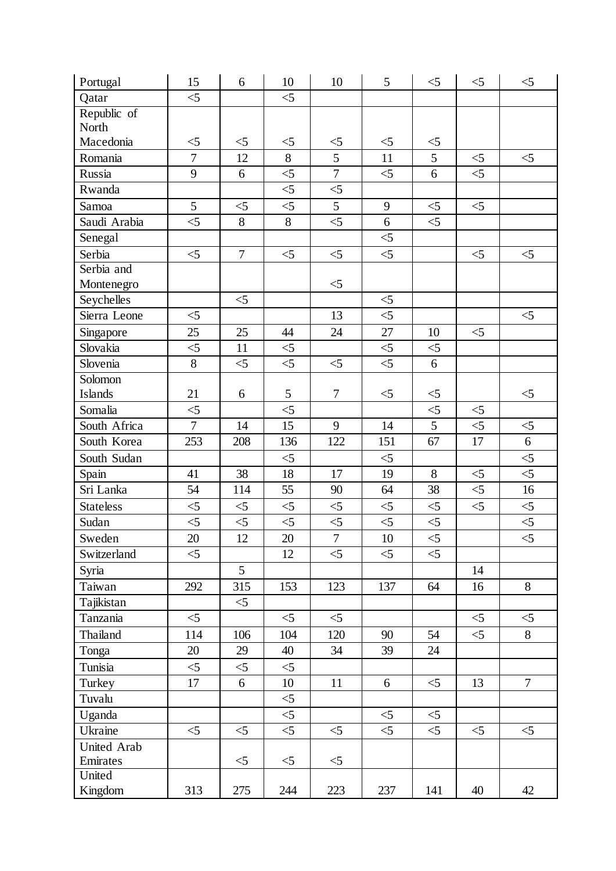| Portugal         | 15               | 6              | 10                | 10               | 5                 | $<$ 5          | $\leq$ | $\leq$         |
|------------------|------------------|----------------|-------------------|------------------|-------------------|----------------|--------|----------------|
| Qatar            | $\leq 5$         |                | $\leq$            |                  |                   |                |        |                |
| Republic of      |                  |                |                   |                  |                   |                |        |                |
| North            |                  |                |                   |                  |                   |                |        |                |
| Macedonia        | $\leq 5$         | $<$ 5          | $\leq 5$          | $\leq 5$         | $\leq$            | $\leq$ 5       |        |                |
| Romania          | $\boldsymbol{7}$ | 12             | 8                 | 5                | 11                | 5              | $<$ 5  | $<$ 5          |
| Russia           | $\overline{9}$   | 6              | $\leq$            | $\overline{7}$   | $\leq$            | $\overline{6}$ | $\leq$ |                |
| Rwanda           |                  |                | $\leq$            | $\leq$           |                   |                |        |                |
| Samoa            | 5                | $\leq$ 5       | $\leq$ 5          | 5                | 9                 | $\leq$         | $<$ 5  |                |
| Saudi Arabia     | $\leq 5$         | 8              | $\overline{8}$    | $\leq$           | 6                 | $\leq$         |        |                |
| Senegal          |                  |                |                   |                  | $\leq$ 5          |                |        |                |
| Serbia           | $\leq$           | $\overline{7}$ | $\leq 5$          | $\leq$           | $\leq$            |                | $\leq$ | $\leq 5$       |
| Serbia and       |                  |                |                   |                  |                   |                |        |                |
| Montenegro       |                  |                |                   | $<$ 5            |                   |                |        |                |
| Seychelles       |                  | $<$ 5          |                   |                  | $\leq$            |                |        |                |
| Sierra Leone     | $\leq$           |                |                   | 13               | $\leq$            |                |        | $\leq$         |
| Singapore        | 25               | 25             | 44                | 24               | 27                | 10             | $\leq$ |                |
| Slovakia         | $\leq$           | 11             | $\leq$ 5          |                  | $\leq 5$          | $\leq$ 5       |        |                |
| Slovenia         | 8                | $<$ 5          | $\overline{\leq}$ | $\leq$ 5         | $\overline{\leq}$ | 6              |        |                |
| Solomon          |                  |                |                   |                  |                   |                |        |                |
| <b>Islands</b>   | 21               | 6              | 5                 | $\tau$           | $\leq$            | $<$ 5          |        | $\leq 5$       |
| Somalia          | $\leq$           |                | $\leq$            |                  |                   | $\leq$         | $<$ 5  |                |
| South Africa     | $\overline{7}$   | 14             | 15                | 9                | 14                | $\overline{5}$ | $\leq$ | $\leq$         |
| South Korea      | 253              | 208            | 136               | 122              | 151               | 67             | 17     | $\overline{6}$ |
| South Sudan      |                  |                | $<$ 5             |                  | $<$ 5             |                |        | $\leq$         |
| Spain            | 41               | 38             | 18                | 17               | 19                | 8              | $<$ 5  | $\leq$         |
| Sri Lanka        | 54               | 114            | 55                | 90               | 64                | 38             | $<$ 5  | 16             |
| <b>Stateless</b> | $\leq$           | $\leq$         | $\leq$            | $\leq$           | $\leq$            | $\leq$         | $\leq$ | $\leq$         |
| Sudan            | $\leq 5$         | $\leq 5$       | $\leq$            | $<$ 5            | $\leq$            | $\leq$         |        | $\leq$         |
| Sweden           | 20               | $12\,$         | 20                | $\boldsymbol{7}$ | 10                | $\leq 5$       |        | $\leq$         |
| Switzerland      | $<$ 5            |                | 12                | $<$ 5            | $<$ 5             | $<$ 5          |        |                |
| Syria            |                  | 5              |                   |                  |                   |                | 14     |                |
| Taiwan           | 292              | 315            | 153               | 123              | 137               | 64             | 16     | 8              |
| Tajikistan       |                  | $<$ 5          |                   |                  |                   |                |        |                |
| Tanzania         | $\leq$           |                | $<$ 5             | $<$ 5            |                   |                | $<$ 5  | $<$ 5          |
| Thailand         | 114              | 106            | 104               | 120              | 90                | 54             | $<$ 5  | 8              |
| Tonga            | 20               | 29             | 40                | 34               | 39                | 24             |        |                |
| Tunisia          | $\leq$           | $\leq$ 5       | $<$ 5             |                  |                   |                |        |                |
| Turkey           | 17               | 6              | 10                | 11               | 6                 | $\leq$ 5       | 13     | $\overline{7}$ |
| Tuvalu           |                  |                | $\leq 5$          |                  |                   |                |        |                |
| Uganda           |                  |                | $<$ 5             |                  | $<$ 5             | $\leq$ 5       |        |                |
| Ukraine          | $\leq$           | $<$ 5          | $\leq$ 5          | $<$ 5            | $\leq$            | $<$ 5          | $<$ 5  | $\leq 5$       |
| United Arab      |                  |                |                   |                  |                   |                |        |                |
| Emirates         |                  | $\leq$ 5       | $\leq$ 5          | $\leq$           |                   |                |        |                |
| United           |                  |                |                   |                  |                   |                |        |                |
| Kingdom          | 313              | 275            | 244               | 223              | 237               | 141            | 40     | 42             |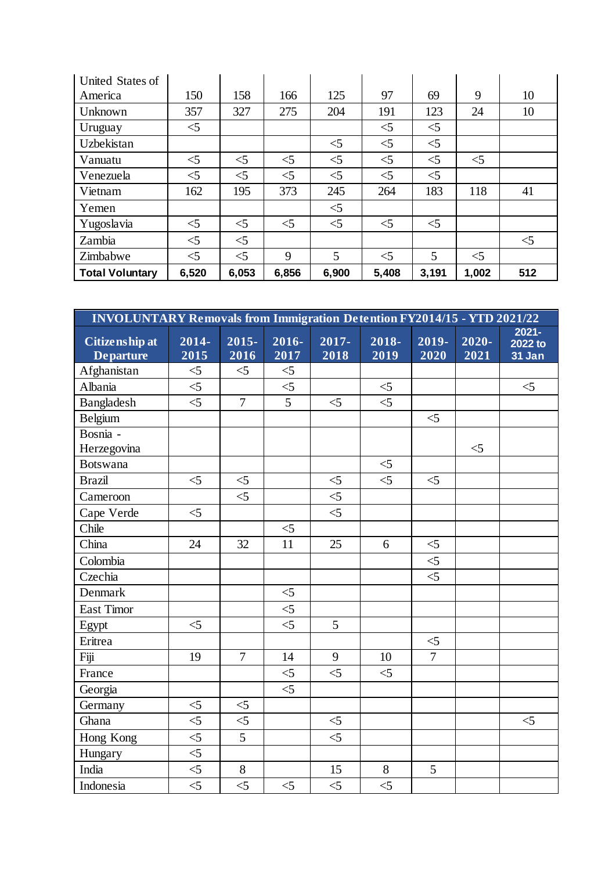| United States of       |          |          |       |       |          |          |       |       |
|------------------------|----------|----------|-------|-------|----------|----------|-------|-------|
| America                | 150      | 158      | 166   | 125   | 97       | 69       | 9     | 10    |
| Unknown                | 357      | 327      | 275   | 204   | 191      | 123      | 24    | 10    |
| Uruguay                | $\leq$ 5 |          |       |       | $<$ 5    | $<$ 5    |       |       |
| Uzbekistan             |          |          |       | $<$ 5 | $<$ 5    | $<$ 5    |       |       |
| Vanuatu                | $<$ 5    | $<$ 5    | $<$ 5 | $<$ 5 | $<$ 5    | $<$ 5    | $<$ 5 |       |
| Venezuela              | $<$ 5    | $<$ 5    | $<$ 5 | $<$ 5 | $<$ 5    | $\leq$ 5 |       |       |
| Vietnam                | 162      | 195      | 373   | 245   | 264      | 183      | 118   | 41    |
| Yemen                  |          |          |       | $<$ 5 |          |          |       |       |
| Yugoslavia             | $<$ 5    | $<$ 5    | $<$ 5 | $<$ 5 | $<$ 5    | $\leq$ 5 |       |       |
| Zambia                 | $<$ 5    | $<$ 5    |       |       |          |          |       | $<$ 5 |
| Zimbabwe               | $\leq$ 5 | $\leq$ 5 | 9     | 5     | $\leq$ 5 | 5        | $<$ 5 |       |
| <b>Total Voluntary</b> | 6,520    | 6,053    | 6,856 | 6,900 | 5,408    | 3,191    | 1,002 | 512   |

| <b>INVOLUNTARY Removals from Immigration Detention FY2014/15 - YTD 2021/22</b> |               |                  |                   |                |               |                |                  |                               |  |
|--------------------------------------------------------------------------------|---------------|------------------|-------------------|----------------|---------------|----------------|------------------|-------------------------------|--|
| Citizenship at<br><b>Departure</b>                                             | 2014-<br>2015 | $2015 -$<br>2016 | 2016-<br>2017     | 2017-<br>2018  | 2018-<br>2019 | 2019-<br>2020  | $2020 -$<br>2021 | $2021 -$<br>2022 to<br>31 Jan |  |
| Afghanistan                                                                    | $<$ 5         | $<$ 5            | $\leq$ 5          |                |               |                |                  |                               |  |
| Albania                                                                        | $\leq$        |                  | $\leq$            |                | $\leq$        |                |                  | $\leq$                        |  |
| Bangladesh                                                                     | $\leq$        | $\overline{7}$   | $\overline{5}$    | $<$ 5          | $<$ 5         |                |                  |                               |  |
| Belgium                                                                        |               |                  |                   |                |               | $\leq$         |                  |                               |  |
| Bosnia -                                                                       |               |                  |                   |                |               |                |                  |                               |  |
| Herzegovina                                                                    |               |                  |                   |                |               |                | $<$ 5            |                               |  |
| <b>Botswana</b>                                                                |               |                  |                   |                | $\leq$        |                |                  |                               |  |
| <b>Brazil</b>                                                                  | $<$ 5         | $<$ 5            |                   | $\leq$ 5       | $<$ 5         | $<$ 5          |                  |                               |  |
| Cameroon                                                                       |               | $\leq$           |                   | $\leq$         |               |                |                  |                               |  |
| Cape Verde                                                                     | $<$ 5         |                  |                   | $<$ 5          |               |                |                  |                               |  |
| Chile                                                                          |               |                  | $\leq$            |                |               |                |                  |                               |  |
| China                                                                          | 24            | 32               | 11                | 25             | 6             | $\leq$         |                  |                               |  |
| Colombia                                                                       |               |                  |                   |                |               | $\leq$         |                  |                               |  |
| Czechia                                                                        |               |                  |                   |                |               | $\leq$         |                  |                               |  |
| Denmark                                                                        |               |                  | $\leq$            |                |               |                |                  |                               |  |
| <b>East Timor</b>                                                              |               |                  | $<$ 5             |                |               |                |                  |                               |  |
| Egypt                                                                          | $\leq 5$      |                  | $\overline{\leq}$ | $\overline{5}$ |               |                |                  |                               |  |
| Eritrea                                                                        |               |                  |                   |                |               | $\leq$         |                  |                               |  |
| Fiji                                                                           | 19            | $\overline{7}$   | 14                | 9              | 10            | $\overline{7}$ |                  |                               |  |
| France                                                                         |               |                  | $<$ 5             | $<$ 5          | $\leq$        |                |                  |                               |  |
| Georgia                                                                        |               |                  | $<$ 5             |                |               |                |                  |                               |  |
| Germany                                                                        | $<$ 5         | $\leq$           |                   |                |               |                |                  |                               |  |
| Ghana                                                                          | $\leq$        | $\leq$           |                   | $<$ 5          |               |                |                  | $\leq$ 5                      |  |
| Hong Kong                                                                      | $\leq$        | 5                |                   | $<$ 5          |               |                |                  |                               |  |
| Hungary                                                                        | $\leq$        |                  |                   |                |               |                |                  |                               |  |
| India                                                                          | $<\!\!5$      | $8\,$            |                   | 15             | $8\,$         | 5              |                  |                               |  |
| Indonesia                                                                      | $<$ 5         | $\leq 5$         | $\leq$            | $\leq$         | $\leq 5$      |                |                  |                               |  |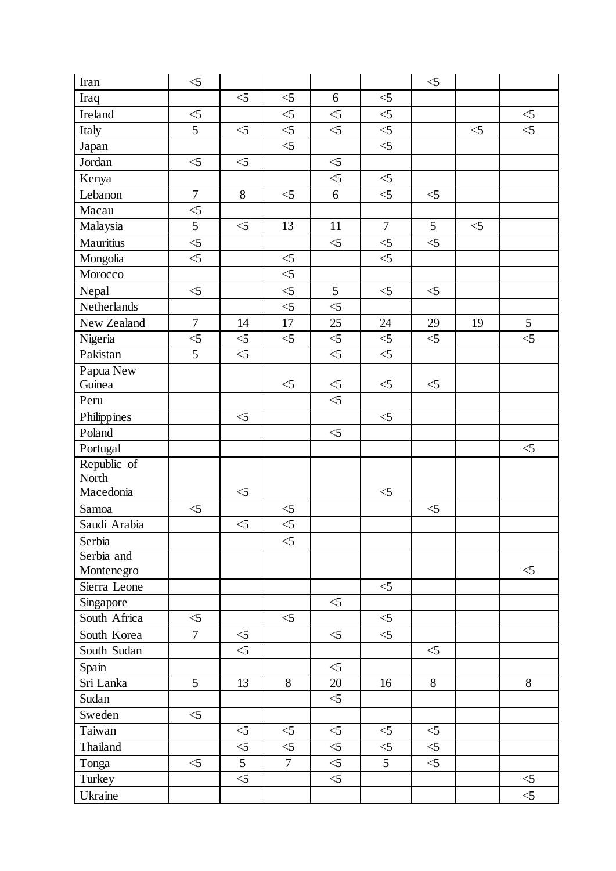| Iran         | $\leq$           |                |                |                   |                | $<$ 5    |        |                |
|--------------|------------------|----------------|----------------|-------------------|----------------|----------|--------|----------------|
| Iraq         |                  | $\leq$         | $<\!\!5$       | 6                 | $\leq$         |          |        |                |
| Ireland      | $\leq$           |                | $\leq$ 5       | $\leq$            | $<$ 5          |          |        | $\leq$         |
| Italy        | 5                | $\leq$         | $\leq$         | $\leq$            | $\leq$         |          | $\leq$ | $\leq$         |
| Japan        |                  |                | $\leq$         |                   | $\leq$         |          |        |                |
| Jordan       | $\leq$ 5         | $<$ 5          |                | $<$ 5             |                |          |        |                |
| Kenya        |                  |                |                | $\leq$            | $\leq$         |          |        |                |
| Lebanon      | $\overline{7}$   | 8              | $<$ 5          | 6                 | $\leq$         | $\leq$   |        |                |
| Macau        | $<$ 5            |                |                |                   |                |          |        |                |
| Malaysia     | 5                | $\leq$         | 13             | 11                | $\overline{7}$ | 5        | $<$ 5  |                |
| Mauritius    | $\leq 5$         |                |                | $\leq$            | $\leq$         | $\leq$   |        |                |
| Mongolia     | $<$ 5            |                | $\leq$         |                   | $\leq$         |          |        |                |
| Morocco      |                  |                | $\leq$         |                   |                |          |        |                |
| Nepal        | $\leq$           |                | $\leq$         | 5                 | $<$ 5          | $\leq 5$ |        |                |
| Netherlands  |                  |                | $\leq$         | $\leq$            |                |          |        |                |
| New Zealand  | $\boldsymbol{7}$ | 14             | 17             | 25                | 24             | 29       | 19     | $\mathfrak{S}$ |
| Nigeria      | $\leq 5$         | $\leq$         | $\leq$         | $\leq$            | $\leq$         | $\leq$   |        | $\leq 5$       |
| Pakistan     | 5                | $\leq$         |                | $\leq$            | $\leq$         |          |        |                |
| Papua New    |                  |                |                |                   |                |          |        |                |
| Guinea       |                  |                | $<$ 5          | $\leq$            | $\leq$ 5       | $\leq$ 5 |        |                |
| Peru         |                  |                |                | $\overline{\leq}$ |                |          |        |                |
| Philippines  |                  | $<$ 5          |                |                   | $<$ 5          |          |        |                |
| Poland       |                  |                |                | $\leq$            |                |          |        |                |
| Portugal     |                  |                |                |                   |                |          |        | $<$ 5          |
| Republic of  |                  |                |                |                   |                |          |        |                |
| North        |                  |                |                |                   |                |          |        |                |
| Macedonia    |                  | $<$ 5          |                |                   | $\leq 5$       |          |        |                |
| Samoa        | $<$ 5            |                | $<$ 5          |                   |                | $<$ 5    |        |                |
| Saudi Arabia |                  | $\leq$         | $<\!\!5$       |                   |                |          |        |                |
| Serbia       |                  |                | $\leq$ 5       |                   |                |          |        |                |
| Serbia and   |                  |                |                |                   |                |          |        |                |
| Montenegro   |                  |                |                |                   |                |          |        | $\leq$ 5       |
| Sierra Leone |                  |                |                |                   | $<$ 5          |          |        |                |
| Singapore    |                  |                |                | $<$ 5             |                |          |        |                |
| South Africa | $<$ 5            |                | $<$ 5          |                   | $<$ 5          |          |        |                |
| South Korea  | $\overline{7}$   | $\leq$ 5       |                | $<$ 5             | $<$ 5          |          |        |                |
| South Sudan  |                  | $\leq$         |                |                   |                | $<$ 5    |        |                |
| Spain        |                  |                |                | $<$ 5             |                |          |        |                |
| Sri Lanka    | 5                | 13             | 8              | 20                | 16             | 8        |        | 8              |
| Sudan        |                  |                |                | $\leq$            |                |          |        |                |
| Sweden       | $<$ 5            |                |                |                   |                |          |        |                |
| Taiwan       |                  | $<$ 5          | $\leq$         | $<$ 5             | $\leq$ 5       | $\leq$ 5 |        |                |
| Thailand     |                  | $\leq$         | $<$ 5          | $\leq 5$          | $\leq 5$       | $<$ 5    |        |                |
| Tonga        | $<$ 5            | $\overline{5}$ | $\overline{7}$ | $\leq$            | 5              | $<$ 5    |        |                |
| Turkey       |                  | $\leq$         |                | $\leq 5$          |                |          |        | $\leq$         |
| Ukraine      |                  |                |                |                   |                |          |        | $\leq$         |